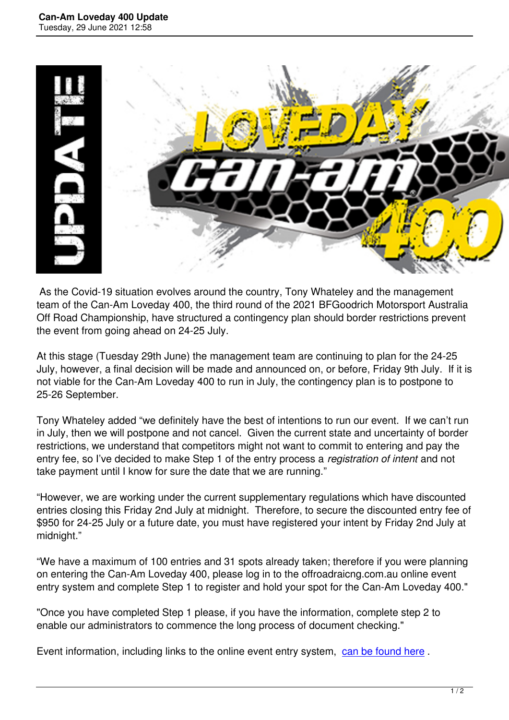

 As the Covid-19 situation evolves around the country, Tony Whateley and the management team of the Can-Am Loveday 400, the third round of the 2021 BFGoodrich Motorsport Australia Off Road Championship, have structured a contingency plan should border restrictions prevent the event from going ahead on 24-25 July.

At this stage (Tuesday 29th June) the management team are continuing to plan for the 24-25 July, however, a final decision will be made and announced on, or before, Friday 9th July. If it is not viable for the Can-Am Loveday 400 to run in July, the contingency plan is to postpone to 25-26 September.

Tony Whateley added "we definitely have the best of intentions to run our event. If we can't run in July, then we will postpone and not cancel. Given the current state and uncertainty of border restrictions, we understand that competitors might not want to commit to entering and pay the entry fee, so I've decided to make Step 1 of the entry process a *registration of intent* and not take payment until I know for sure the date that we are running."

"However, we are working under the current supplementary regulations which have discounted entries closing this Friday 2nd July at midnight. Therefore, to secure the discounted entry fee of \$950 for 24-25 July or a future date, you must have registered your intent by Friday 2nd July at midnight."

"We have a maximum of 100 entries and 31 spots already taken; therefore if you were planning on entering the Can-Am Loveday 400, please log in to the offroadraicng.com.au online event entry system and complete Step 1 to register and hold your spot for the Can-Am Loveday 400."

"Once you have completed Step 1 please, if you have the information, complete step 2 to enable our administrators to commence the long process of document checking."

Event information, including links to the online event entry system, can be found here.